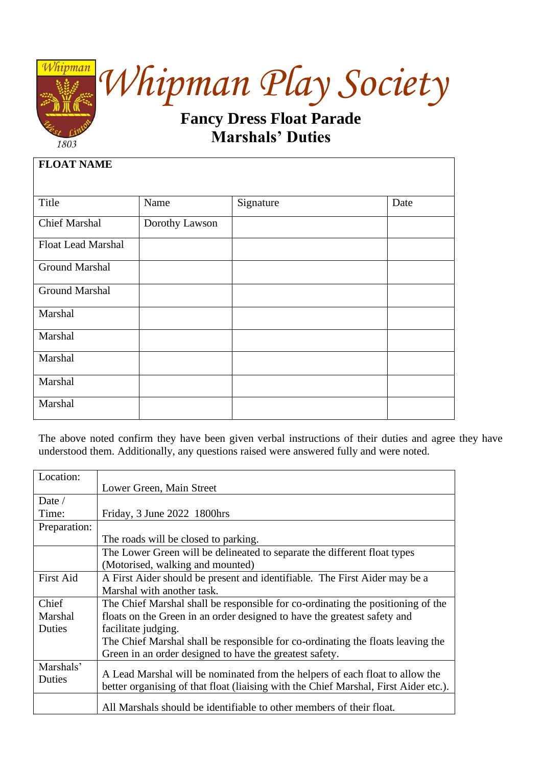

*Whipman Play Society*

## **Fancy Dress Float Parade Marshals' Duties**

| <b>FLOAT NAME</b>         |                |           |      |
|---------------------------|----------------|-----------|------|
|                           |                |           |      |
| Title                     | Name           | Signature | Date |
| <b>Chief Marshal</b>      | Dorothy Lawson |           |      |
| <b>Float Lead Marshal</b> |                |           |      |
| <b>Ground Marshal</b>     |                |           |      |
| <b>Ground Marshal</b>     |                |           |      |
| Marshal                   |                |           |      |
| Marshal                   |                |           |      |
| Marshal                   |                |           |      |
| Marshal                   |                |           |      |
| Marshal                   |                |           |      |

The above noted confirm they have been given verbal instructions of their duties and agree they have understood them. Additionally, any questions raised were answered fully and were noted.

| Location:        |                                                                                      |
|------------------|--------------------------------------------------------------------------------------|
|                  | Lower Green, Main Street                                                             |
| Date $/$         |                                                                                      |
| Time:            | Friday, 3 June 2022 1800hrs                                                          |
| Preparation:     |                                                                                      |
|                  | The roads will be closed to parking.                                                 |
|                  | The Lower Green will be delineated to separate the different float types             |
|                  | (Motorised, walking and mounted)                                                     |
| <b>First Aid</b> | A First Aider should be present and identifiable. The First Aider may be a           |
|                  | Marshal with another task.                                                           |
| Chief            | The Chief Marshal shall be responsible for co-ordinating the positioning of the      |
| Marshal          | floats on the Green in an order designed to have the greatest safety and             |
| Duties           | facilitate judging.                                                                  |
|                  | The Chief Marshal shall be responsible for co-ordinating the floats leaving the      |
|                  | Green in an order designed to have the greatest safety.                              |
| Marshals'        | A Lead Marshal will be nominated from the helpers of each float to allow the         |
| Duties           | better organising of that float (liaising with the Chief Marshal, First Aider etc.). |
|                  |                                                                                      |
|                  | All Marshals should be identifiable to other members of their float.                 |